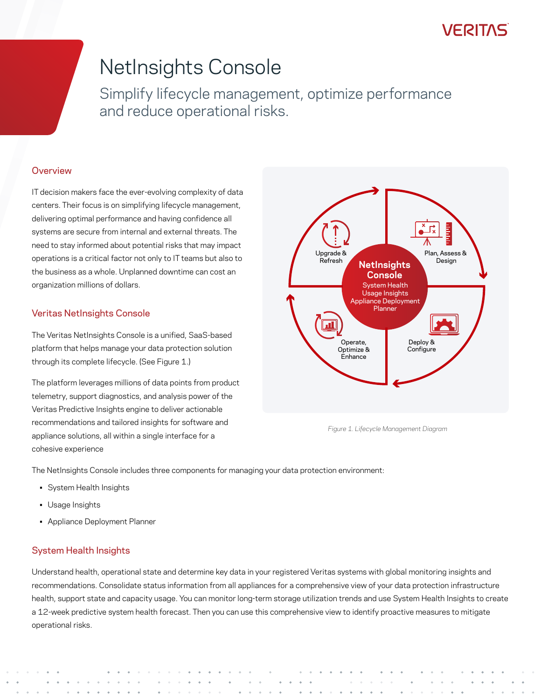### **VERITAS**

# NetInsights Console

Simplify lifecycle management, optimize performance and reduce operational risks.

#### **Overview**

IT decision makers face the ever-evolving complexity of data centers. Their focus is on simplifying lifecycle management, delivering optimal performance and having confidence all systems are secure from internal and external threats. The need to stay informed about potential risks that may impact operations is a critical factor not only to IT teams but also to the business as a whole. Unplanned downtime can cost an organization millions of dollars.

#### Veritas NetInsights Console

The Veritas NetInsights Console is a unified, SaaS-based platform that helps manage your data protection solution through its complete lifecycle. (See Figure 1.)

The platform leverages millions of data points from product telemetry, support diagnostics, and analysis power of the Veritas Predictive Insights engine to deliver actionable recommendations and tailored insights for software and appliance solutions, all within a single interface for a cohesive experience



*Figure 1. Lifecycle Management Diagram*

The NetInsights Console includes three components for managing your data protection environment:

- System Health Insights
- Usage Insights
- Appliance Deployment Planner

#### System Health Insights

Understand health, operational state and determine key data in your registered Veritas systems with global monitoring insights and recommendations. Consolidate status information from all appliances for a comprehensive view of your data protection infrastructure health, support state and capacity usage. You can monitor long-term storage utilization trends and use System Health Insights to create a 12-week predictive system health forecast. Then you can use this comprehensive view to identify proactive measures to mitigate operational risks.